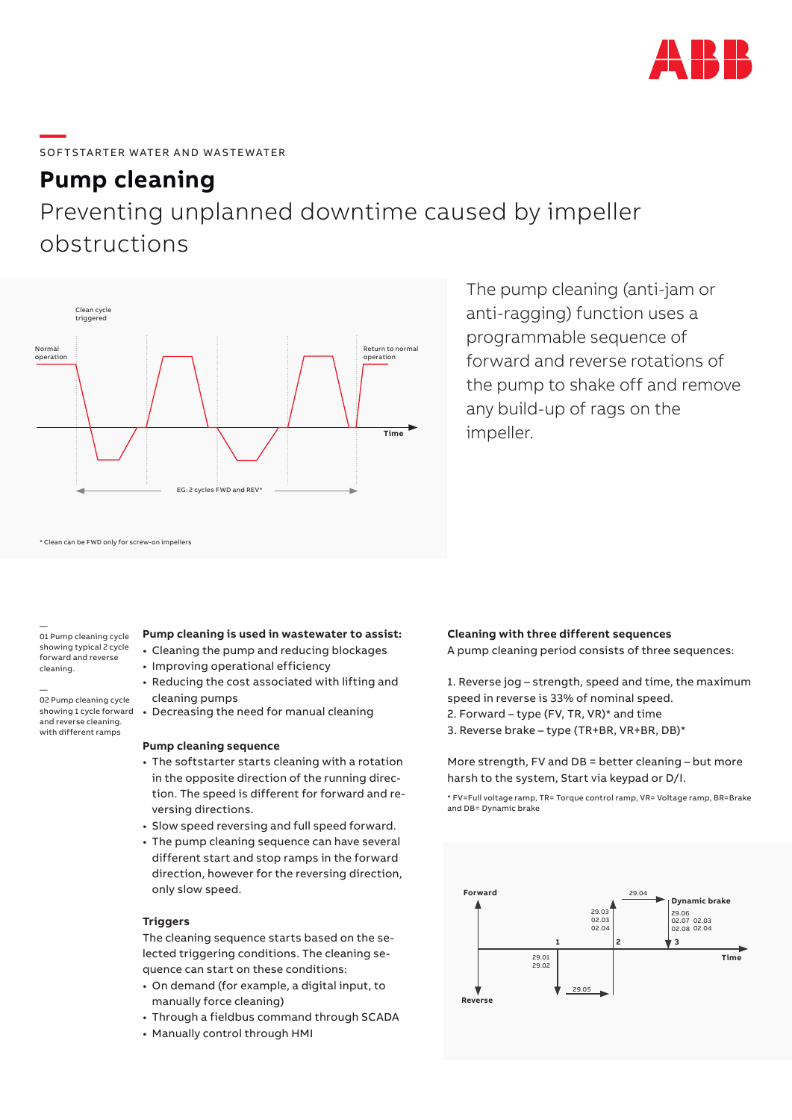

# **—**  SOFTSTARTER WATER AND WASTEWATER

### **Pump cleaning**

## Preventing unplanned downtime caused by impeller obstructions



The pump cleaning (anti-jam or anti-ragging) function uses a programmable sequence of forward and reverse rotations of the pump to shake off and remove any build-up of rags on the impeller.

\* Clean can be FWD only for screw-on impellers

— 01 Pump cleaning cycle showing typical 2 cycle forward and reverse cleaning.

#### — 02 Pump cleaning cycle showing 1 cycle forward and reverse cleaning. with different ramps

### **Pump cleaning is used in wastewater to assist:**

- Cleaning the pump and reducing blockages
- Improving operational efficiency
- Reducing the cost associated with lifting and cleaning pumps
- Decreasing the need for manual cleaning

#### **Pump cleaning sequence**

- The softstarter starts cleaning with a rotation in the opposite direction of the running direction. The speed is different for forward and reversing directions.
- Slow speed reversing and full speed forward.
- The pump cleaning sequence can have several different start and stop ramps in the forward direction, however for the reversing direction, only slow speed.

#### **Triggers**

The cleaning sequence starts based on the selected triggering conditions. The cleaning sequence can start on these conditions:

- On demand (for example, a digital input, to manually force cleaning)
- Through a fieldbus command through SCADA
- Manually control through HMI

### **Cleaning with three different sequences**

A pump cleaning period consists of three sequences:

1. Reverse jog – strength, speed and time, the maximum speed in reverse is 33% of nominal speed.

- 2. Forward type (FV, TR, VR)\* and time
- 3. Reverse brake type (TR+BR, VR+BR, DB)\*

More strength, FV and DB = better cleaning – but more harsh to the system, Start via keypad or D/I.

\* FV=Full voltage ramp, TR= Torque control ramp, VR= Voltage ramp, BR=Brake and DB= Dynamic brake